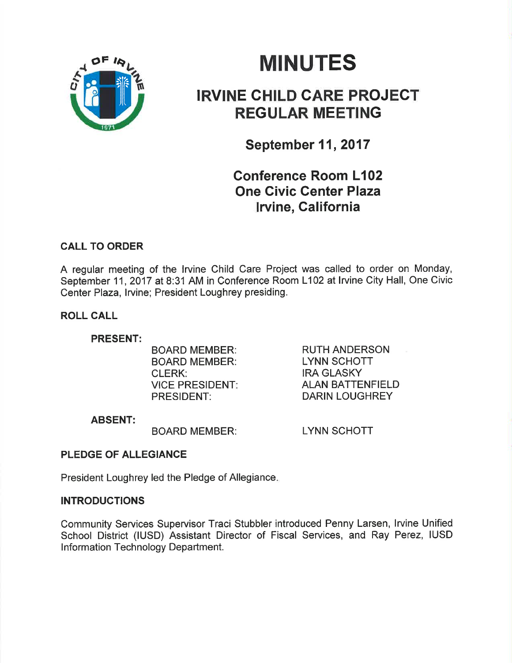

# **MINUTES**

# IRVINE CHILD CARE PROJECT REGULAR MEETING

September 11, 2017

# Gonference Room L102 One Givic Genter Plaza lrvine, Galifornia

# CALL TO ORDER

A regular meeting of the lrvine Child Care Project was called to order on Monday, September 11, 2017 at 8:31 AM in Conference Room L102 at Irvine City Hall, One Civic Center Plaza, lrvine; President Loughrey presiding.

# ROLL CALL

# PRESENT:

BOARD MEMBER: BOARD MEMBER: CLERK: VICE PRESIDENT PRESIDENT:

RUTH ANDERSON LYNN SCHOTT IRA GLASKY ALAN BATTENFIELD DARIN LOUGHREY

# ABSENT:

BOARD MEMBER:

LYNN SCHOTT

# PLEDGE OF ALLEGIANCE

President Loughrey led the Pledge of Allegiance

# INTRODUCTIONS

Community Services Supervisor Traci Stubbler introduced Penny Larsen, lrvine Unified School District (IUSD) Assistant Director of Fiscal Services, and Ray Perez, IUSD Information Technology Department.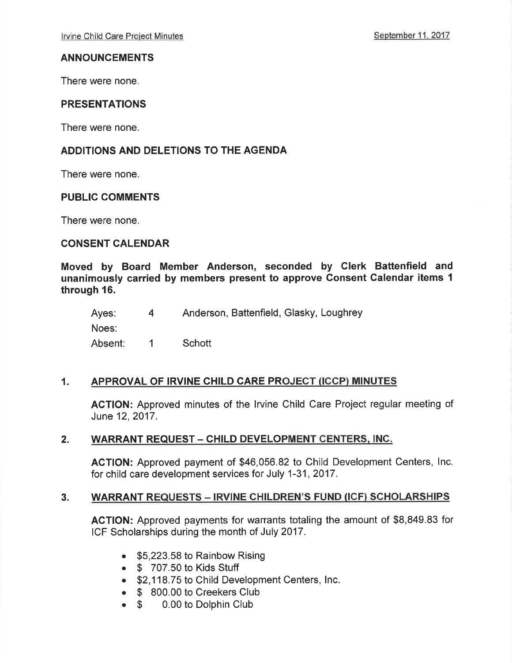# ANNOUNCEMENTS

There were none.

# PRESENTATIONS

There were none.

# ADDITIONS AND DELETIONS TO THE AGENDA

There were none.

# PUBLIC COMMENTS

There were none.

# CONSENT CALENDAR

Moved by Board Member Anderson, seconded by Clerk Battenfield and unanimously carried by members present to approve Gonsent Galendar items <sup>1</sup> through 16.

Ayes: 4 Anderson, Battenfield, Glasky, Loughrey Noes: Absent: 1 Schott

# 1. APPROVAL OF IRVINE CHILD CARE PROJECT (ICCP) MINUTES

ACTION: Approved minutes of the lrvine Child Care Project regular meeting of June 12,2017.

# 2. WARRANT REQUEST - CHILD DEVELOPMENT CENTERS, INC.

AGTION: Approved payment of \$46,056.82 to Child Development Centers, lnc. for child care development services for July 1-31,2017.

# 3. WARRANT REQUESTS - IRVINE CHILDREN'S FUND (ICF) SCHOLARSHIPS

ACTION: Approved payments for warrants totaling the amount of \$8,849.83 for ICF Scholarships during the month of July 2017.

- $\bullet$  \$5,223.58 to Rainbow Rising
- $\bullet$  \$ 707.50 to Kids Stuff
- \$2,118.75 to Child Development Centers, Inc.
- **S** 800.00 to Creekers Club<br>**S** 0.00 to Dolphin Club
- 0.00 to Dolphin Club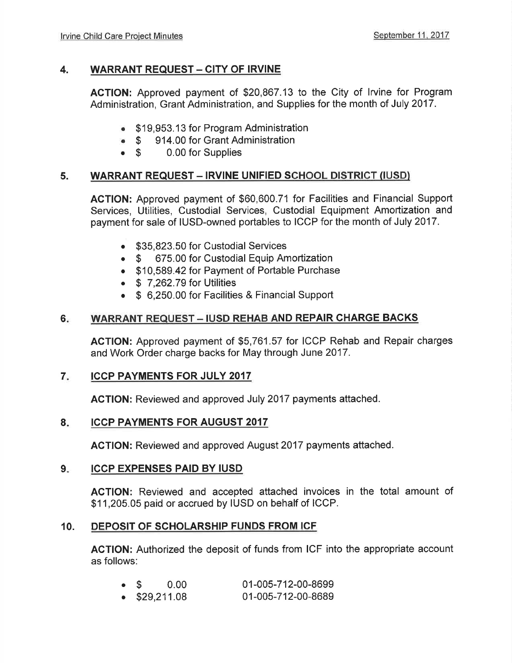# 4. WARRANT REQUEST - CITY OF IRVINE

ACTION: Approved payment of \$20,867.13 to the City of lrvine for Program Administration, Grant Administration, and Supplies for the month of July 2017.

- \$19,953.13 for Program Administration
- \$ 914.00 for Grant Administration<br>• \$ 0.00 for Supplies
- 0.00 for Supplies

# 5. WARRANT REQUEST - IRVINE UNIFIED SCHOOL DISTRICT (IUSD)

AGTION: Approved payment of \$60,600.71 for Facilities and Financial Support Services, Utilities, Custodial Services, Custodial Equipment Amortization and payment for sale of IUSD-owned portables to ICCP for the month of July 2017.

- . \$35,823.50 for Custodial Services
- 675.00 for Custodial Equip Amortization
- . \$10,589.42 for Payment of Portable Purchase
- $\bullet$  \$ 7.262.79 for Utilities
- \$ 6,250.00 for Facilities & Financial Support

#### WARRANT REQUEST - IUSD REHAB AND REPAIR CHARGE BACKS  $6.$

ACTION: Approved payment of \$5,761 .57 for ICCP Rehab and Repair charges and Work Order charge backs for May through June 2017.

#### ICCP PAYMENTS FOR JULY 2017 7

AGTION: Reviewed and approved July 2017 payments attached.

#### ICCP PAYMENTS FOR AUGUST 2017 8

ACTION: Reviewed and approved August 2017 payments attached.

#### ICCP EXPENSES PAID BY IUSD  $9.$

AGTION: Reviewed and accepted attached invoices in the total amount of \$11,205.05 paid or accrued by IUSD on behalf of ICCP.

# 10. DEPOSIT OF SCHOLARSHIP FUNDS FROM ICF

AGTION: Authorized the deposit of funds from ICF into the appropriate account as follows:

|                       | $\bullet$ \$ 0.00 | 01-005-712-00-8699 |
|-----------------------|-------------------|--------------------|
| $\bullet$ \$29,211.08 |                   | 01-005-712-00-8689 |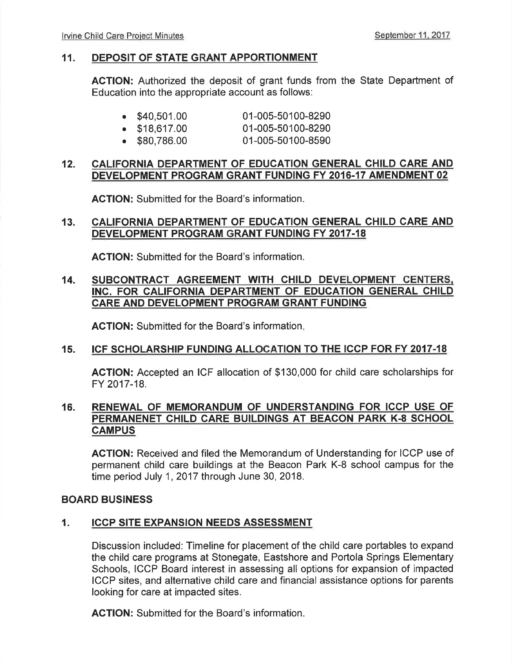# 11. DEPOSIT OF STATE GRANT APPORTIONMENT

AGTION: Authorized the deposit of grant funds from the State Department of Education into the appropriate account as follows:

|  | $\bullet$ \$40,501.00 | 01-005-50100-8290 |
|--|-----------------------|-------------------|

- $\bullet$  \$18,617.00 01-005-50100-8290
- . \$80,786.00 01-005-50100-8590

# 12. CALIFORNIA DEPARTMENT OF EDUCATION GENERAL CHILD CARE AND DEVELOPMENT PROGRAM GRANT FUNDING FY 2016.17 AMENDMENT 02

ACTION: Submitted for the Board's information.

#### CALIFORNIA DEPARTMENT OF EDUCATION GENERAL CHILD CARE AND DEVELOPMENT PROGRAM GRANT FUNDING FY 2017-18 13.

AGTION: Submitted for the Board's information.

#### 14. SUBCONTRACT AGREEMENT WITH CHILD DEVELOPMENT CENTERS. INC. FOR CALIFORNIA DEPARTMENT OF EDUCATION GENERAL CHILD CARE AND DEVELOPMENT PROGRAM GRANT FUNDING

ACTION: Submitted for the Board's information.

# 15. ICF SCHOLARSHIP FUNDING ALLOCATION TO THE ICCP FOR FY 2017-18

AGTION: Accepted an ICF allocation of \$130,000 for child care scholarships for FY 2017-18.

# 16. RENEWAL OF MEMORANDUM OF UNDERSTANDING FOR ICCP USE OF PERMANENET CHILD CARE BUILDINGS AT BEACON PARK K-8 SCHOOL **CAMPUS**

ACTION: Received and filed the Memorandum of Understanding for ICCP use of permanent child care buildings at the Beacon Park K-8 school campus for the time period July 1, 2017 through June 30, 2018.

# BOARD BUSINESS

# 1. ICCP SITE EXPANSION NEEDS ASSESSMENT

Discussion included: Timeline for placement of the child care portables to expand the child care programs at Stonegate, Eastshore and Portola Springs Elementary Schools, ICCP Board interest in assessing all options for expansion of impacted ICCP sites, and alternative child care and financial assistance options for parents looking for care at impacted sites.

ACTION: Submitted for the Board's information.